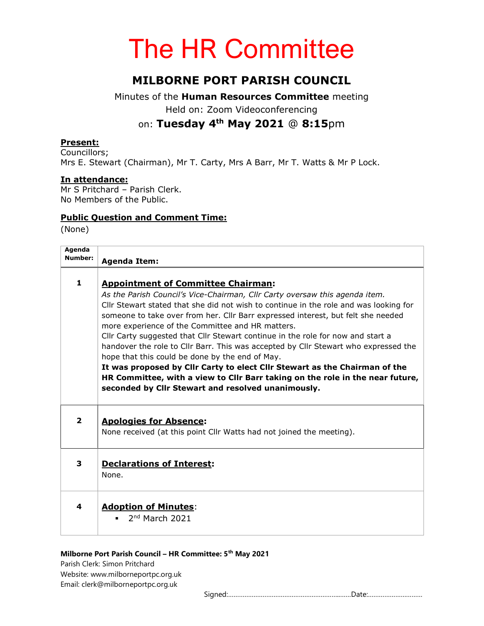# The HR Committee

# MILBORNE PORT PARISH COUNCIL

Minutes of the Human Resources Committee meeting Held on: Zoom Videoconferencing on: Tuesday 4th May 2021 @ 8:15pm

#### Present:

Councillors; Mrs E. Stewart (Chairman), Mr T. Carty, Mrs A Barr, Mr T. Watts & Mr P Lock.

#### In attendance:

Mr S Pritchard – Parish Clerk. No Members of the Public.

#### Public Question and Comment Time:

(None)

| Agenda<br>Number: | <b>Agenda Item:</b>                                                                                                                                                                                                                                                                                                                                                                                                                                                                                                                                                                                                                                                                                                                                                                                         |
|-------------------|-------------------------------------------------------------------------------------------------------------------------------------------------------------------------------------------------------------------------------------------------------------------------------------------------------------------------------------------------------------------------------------------------------------------------------------------------------------------------------------------------------------------------------------------------------------------------------------------------------------------------------------------------------------------------------------------------------------------------------------------------------------------------------------------------------------|
| $\mathbf{1}$      | <b>Appointment of Committee Chairman:</b><br>As the Parish Council's Vice-Chairman, Cllr Carty oversaw this agenda item.<br>Cllr Stewart stated that she did not wish to continue in the role and was looking for<br>someone to take over from her. Cllr Barr expressed interest, but felt she needed<br>more experience of the Committee and HR matters.<br>Cllr Carty suggested that Cllr Stewart continue in the role for now and start a<br>handover the role to Cllr Barr. This was accepted by Cllr Stewart who expressed the<br>hope that this could be done by the end of May.<br>It was proposed by Cllr Carty to elect Cllr Stewart as the Chairman of the<br>HR Committee, with a view to Cllr Barr taking on the role in the near future,<br>seconded by Cllr Stewart and resolved unanimously. |
| $\overline{2}$    | <b>Apologies for Absence:</b><br>None received (at this point Cllr Watts had not joined the meeting).                                                                                                                                                                                                                                                                                                                                                                                                                                                                                                                                                                                                                                                                                                       |
| 3                 | <b>Declarations of Interest:</b><br>None.                                                                                                                                                                                                                                                                                                                                                                                                                                                                                                                                                                                                                                                                                                                                                                   |
| 4                 | <b>Adoption of Minutes:</b><br>$2nd$ March 2021                                                                                                                                                                                                                                                                                                                                                                                                                                                                                                                                                                                                                                                                                                                                                             |
|                   |                                                                                                                                                                                                                                                                                                                                                                                                                                                                                                                                                                                                                                                                                                                                                                                                             |

#### Milborne Port Parish Council - HR Committee: 5<sup>th</sup> May 2021

Parish Clerk: Simon Pritchard Website: www.milborneportpc.org.uk Email: clerk@milborneportpc.org.uk

Signed:……………………………………………………..……Date:…………………………